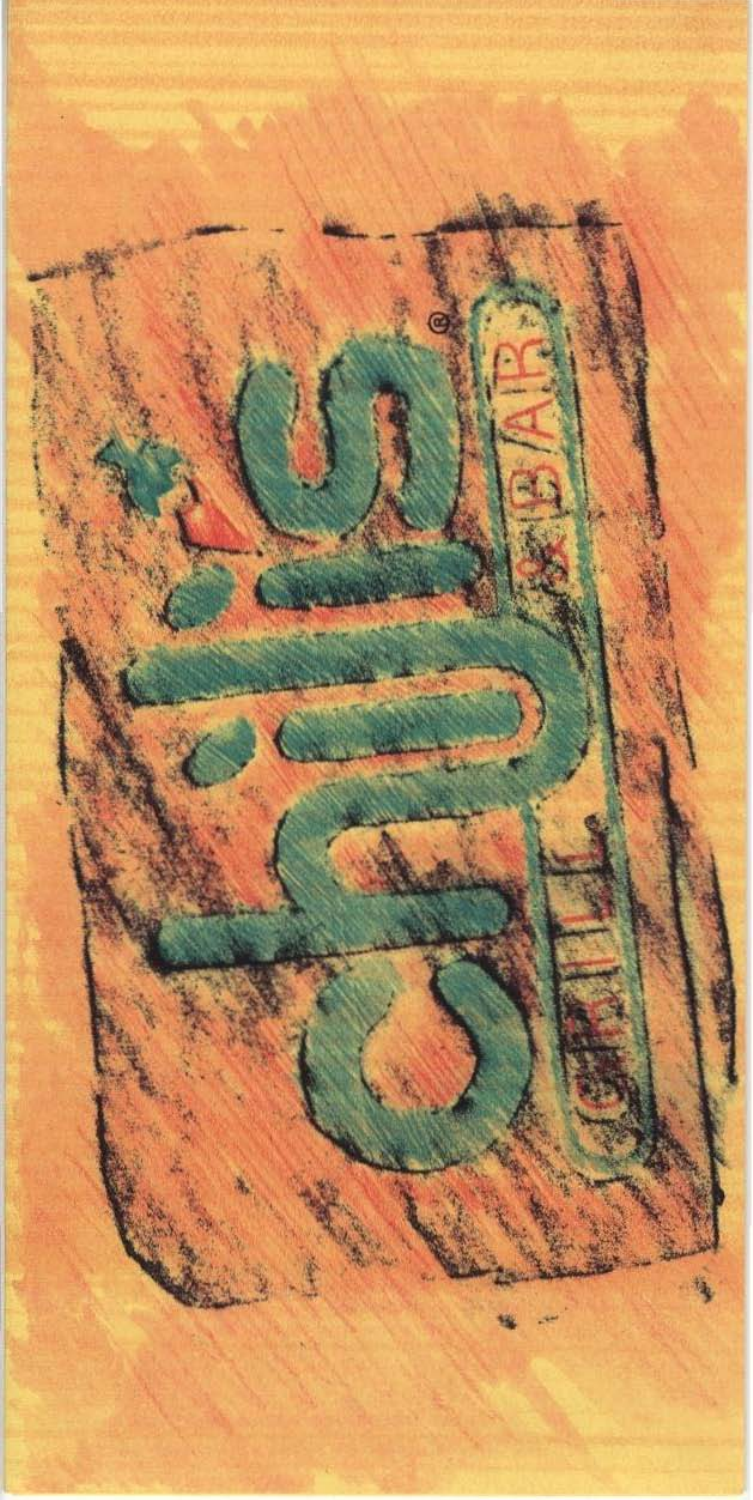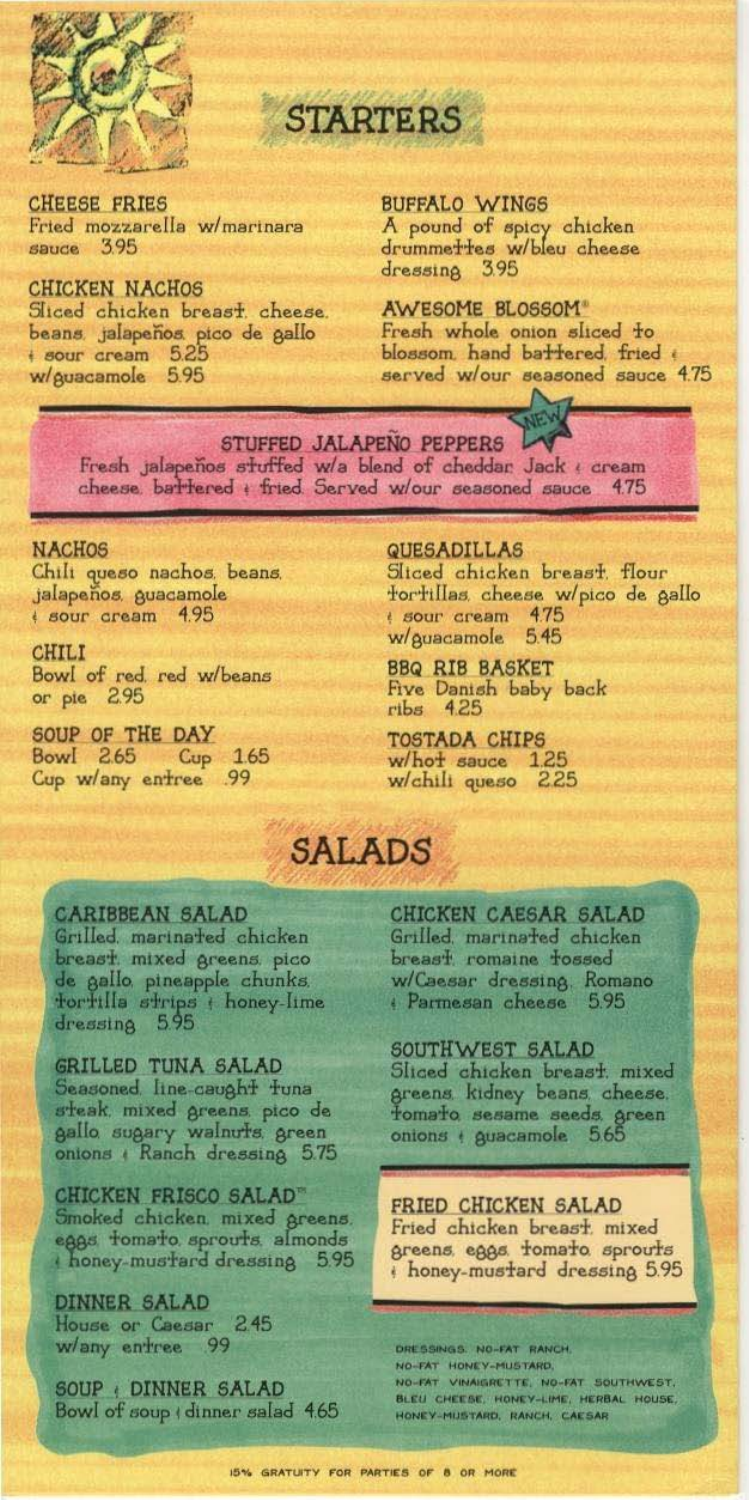

**STARTERS** 

**CHEESE FRIES** Fried mozzarella w/marinara sauce 3.95

**CHICKEN NACHOS** Sliced chicken breast. cheese. beans, jalapeños, pico de gallo<br>+ sour cream 525 w/guacamole 5.95

**BUFFALO WINGS** 

A pound of spicy chicken<br>drummettes w/bleu cheese dressing 3.95

AWESOME BLOSSOM® Fresh whole onion sliced to blossom hand battered fried served w/our seasoned sauce 4.75

STUFFED JALAPENO PEPPERS Fresh jalapeños stuffed w/a blend of cheddar Jack ( cream cheese battered + fried Served w/our seasoned sauce 475

#### **NACHOS**

Chili queso nachos, beans, jalapeños guacamole sour cream 4.95

**CHILI** Bowl of red. red w/beans or pie 2.95

SOUP OF THE DAY Bowl 2.65 Cup 1.65 Cup w/any entree .99

**QUESADILLAS** Sitced chicken breast. flour fortillas cheese w/pico de gallo sour cream 475 5.45 w/guacamole

**BBQ RIB BASKET** Five Danish baby back  $ribs$  4.25

TOSTADA CHIPS w/hot sauce 1.25 w/chili queso 2.25

# **SALADS**

#### **CARIBBEAN SALAD**

Grilled. marinated chicken breast mixed greens pico de gallo pineapple chunks. fortilla strips + honey-lime dressing 595

GRILLED TUNA SALAD Seasoned line-caught tuna steak, mixed greens, pico de gallo sugary walnuts green<br>onions + Ranch dressing 5.75

CHICKEN FRISCO SALAD" Smoked chicken mixed greens. eggs tomato sprouts almonds honey-mustard dressing 5.95

DINNER SALAD House or Caesar 2.45 w/any entree 99

SOUP (DINNER SALAD Bowl of soup (dinner salad 4.65 CHICKEN CAESAR SALAD Grilled, marinated chicken breast romaine fossed w/Caesar dressing, Romano<br>| Parmesan cheese 5.95

SOUTHWEST SALAD Sliced chicken breast. mixed greens kidney beans cheese.<br>Fomafo sesame seeds green onions + guacamole 565

FRIED CHICKEN SALAD Fried chicken breast mixed<br>greens eggs tomato sprouts honey-mustard dressing 5.95

DRESSINGS. NO-FAT RANCH. NO-FAT HONEY-MUSTARD. NO-FAT VINAIGRETTE, NO-FAT SOUTHWEST. BLEU CHEESE, HONEY-LIME, HERBAL HOUSE, HONEY-MUSTARD, RANCH, CAESAR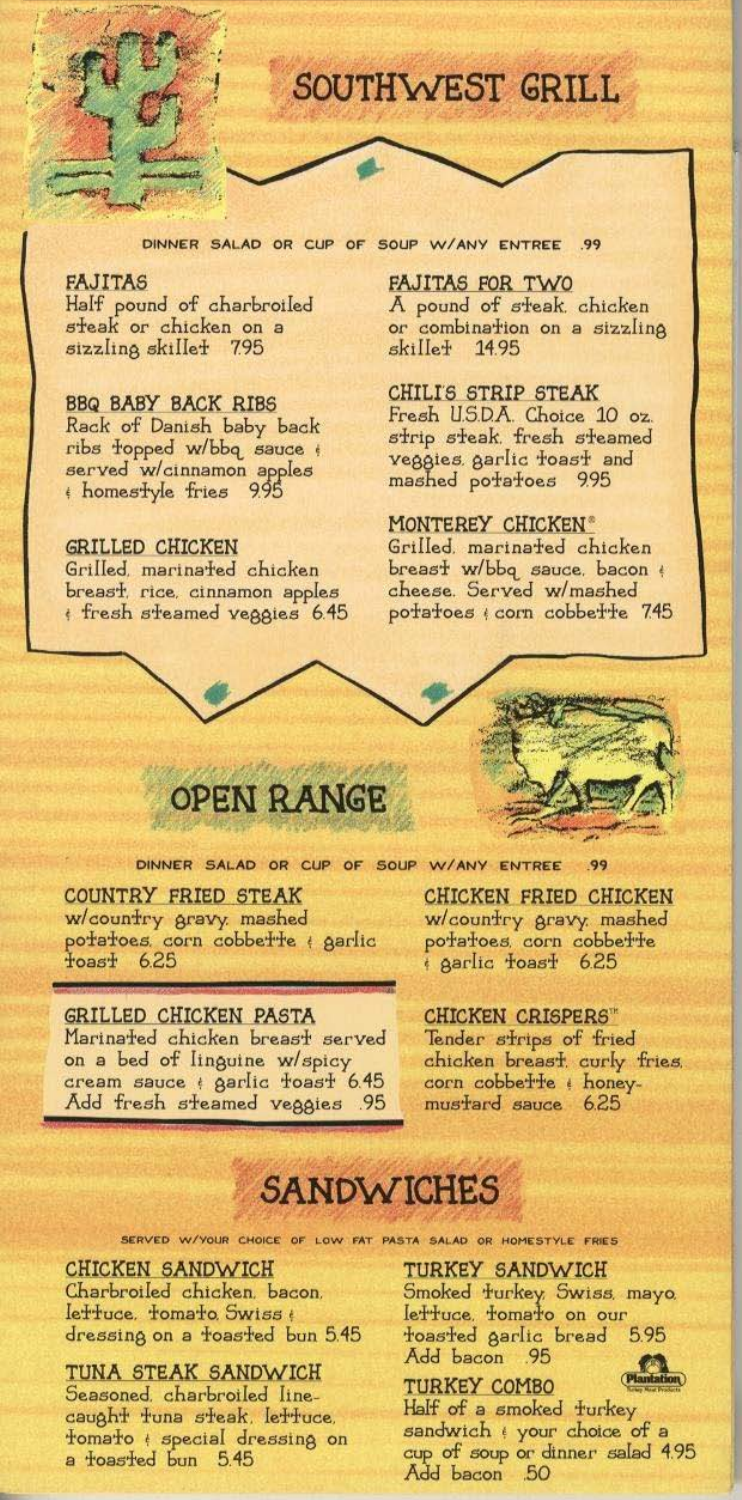

SOUTHWEST GRILL

**FAJITAS** Half pound of charbroiled steak or chicken on a sizzling skillet 7.95

## **BBQ BABY BACK RIBS**

Rack of Danish baby back<br>ribs topped w/bbq sauce served w/cinnamon apples<br>A homestyle fries 995

## **GRILLED CHICKEN**

Grilled, marinated chicken<br>breast, rice, cinnamon apples fresh steamed veggies 6.45 FAJITAS FOR TWO A pound of steak. chicken or combination on a sizzling skille+ 14.95

**CHILIS STRIP STEAK** Fresh USDA. Choice 10 oz.<br>strip steak, fresh steamed veggies garlic toast and mashed potatoes 9.95

## MONTEREY CHICKEN®

Grilled marinated chicken breast w/bbq sauce. bacon<br>cheese. Served w/mashed<br>potatoes (corn cobbette 745



DINNER SALAD OR CUP OF SOUP W/ANY ENTREE .99

**COUNTRY FRIED STEAK** w/country gravy. mashed<br>potatoes. corn cobbette : garlic 625  $\texttt{Toasf}$ 

### GRILLED CHICKEN PASTA

Marinated chicken breast served on a bed of linguine w/spicy<br>cream sauce + garlic foast 6.45 Add fresh steamed veggies .95

CHICKEN FRIED CHICKEN w/country gravy mashed potatoes corn cobbette sarlic toast 6.25

### **CHICKEN CRISPERS**\*

Tender strips of fried chicken breast curly fries. corn cobbe<sup>T</sup>re : honeymustard sauce 6.25

# **SANDWICHES**

SERVED W/YOUR CHOICE OF LOW FAT PASTA SALAD OR HOMESTYLE FRIES

## **CHICKEN SANDWICH**

Charbroiled chicken. bacon. lettuce. tomato. Swiss ( dressing on a foasfed bun 5.45

TUNA STEAK SANDWICH Seasoned. charbroiled linecaught tuna steak, lettuce, fomato ( special dressing on a foasted bun 5.45

TURKEY SANDWICH

Smoked furkey, Swiss, mayo. lettuce, tomato on our<br>toasted garlic bread 5.95 Add bacon - 95

## **TURKEY COMBO**

Half of a smoked turkey

sandwich (your choice of a cup of soup or dinner salad 4.95<br>Add bacon 50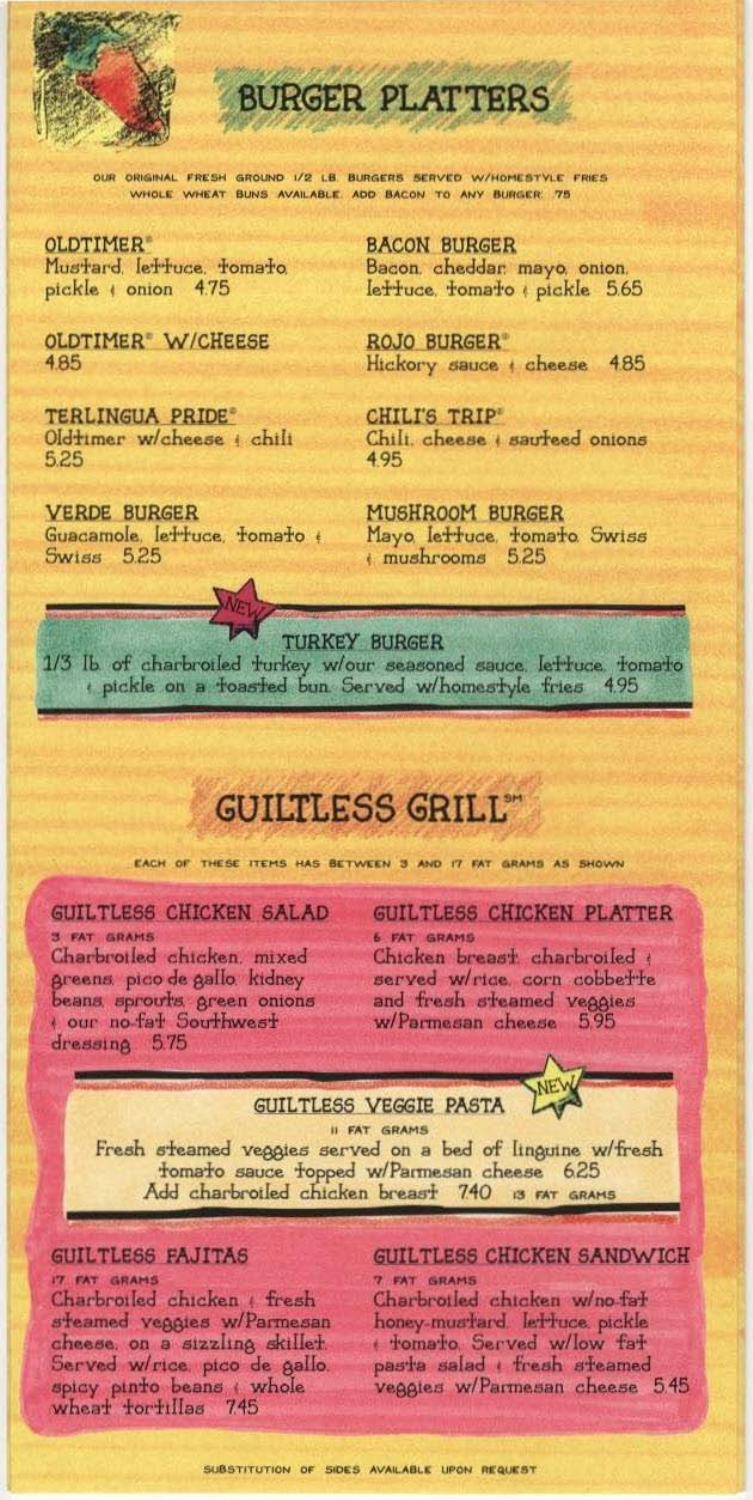

**BURGER PLATTERS** 

OUR ORIGINAL FRESH GROUND 1/2 LB BURGERS SERVED W/HOMESTYLE FRIES WHOLE WHEAT BUNS AVAILABLE ADD BACON TO ANY BURGER 75

OLDTIMER<sup>®</sup> Mustard lettuce tomato pickle + onion 4.75

OLDTIMER W/CHEESE 485

**TERLINGUA PRIDE®** Oldtimer w/cheese ( chili 5.25

**VERDE BURGER** Guacamole, lettuce, tomato + Swiss 525

**BACON BURGER** Bacon, cheddar, mayo, onion, lettuce, tomato pickle 5.65

**ROJO BURGER®** Hickory sauce ( cheese 485

**CHILI'S TRIP'** Chili. cheese ( sauteed onions 495

MUSHROOM BURGER Mayo lettuce tomato Swiss

**TURKEY BURGER** 1/3 Ib of charbroiled turkey w/our seasoned sauce. Iettuce. tomatio<br>pickle on a toasted bun. Served w/homestyle fries 495

# **GUILTLESS GRILL®**

EACH OF THESE ITEMS HAS BETWEEN 3 AND IT FAT GRAMS AS SHOWN

GUILTLESS CHICKEN SALAD

**3 FAT GRAMS** Charbrotled chicken, mixed greens pico de gallo kidney beans sprouts green onions dressing 5.75

GUILTLESS CHICKEN PLATTER **6 FAT GRAMS** 

Chicken breast charbroiled served w/rice corn cobbette and fresh steamed veggies w/Parmesan cheese 595

**GUILTLESS VEGGIE PASTA** 



II FAT GRAMS Fresh steamed veggies served on a bed of linguine w/fresh fomato sauce topped w/Parmesan cheese 625 Add charbroiled chicken breast 740 is FAT GRAMS

#### GUILTLESS FAJITAS

IT FAT GRAMS Charbroiled chicken (fresh steamed veggies w/Parmesan cheese on a sizzling skillet. Served w/rice pico de gallo. spicy pinto beans whole<br>wheat tortillas 745

# GUILTLESS CHICKEN SANDWICH

7 FAT GRAMS Charbrotled chtcken w/no-fat honey-mustard, lettuce pickle themato Served w/low fat pasta salad ( fresh steamed veggies w/Parmesan cheese 5.45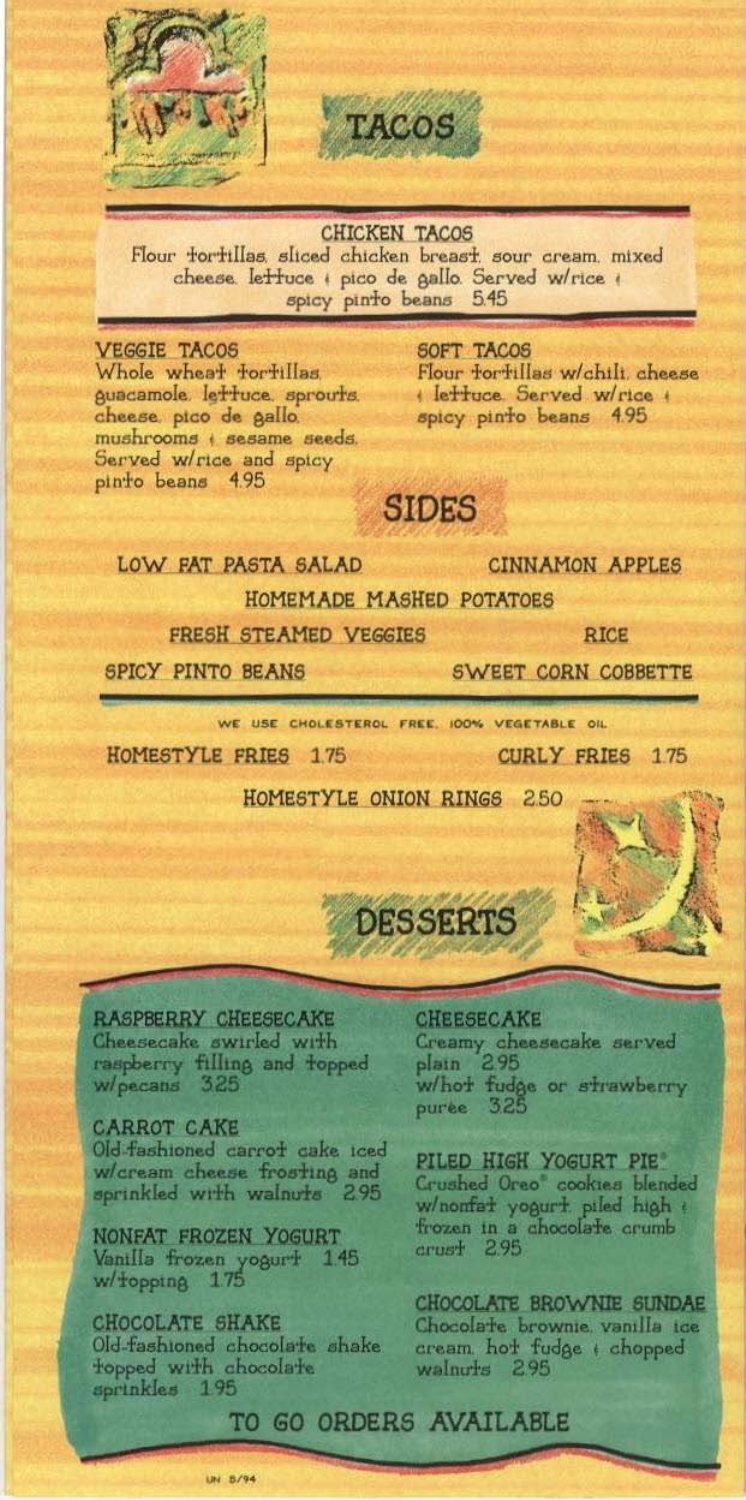



**CHICKEN TACOS** Flour forfillas, sliced chicken breast, sour cream, mixed cheese lettuce + pico de gallo. Served w/rice + spicy pinto beans 5.45

**VEGGIE TACOS** Whole wheat fortillas. guacamole. lettuce, sprouts. cheese pico de gallo. mushrooms + sesame seeds. Served w/rice and spicy pinto beans 4.95

SOFT TACOS Flour forfillas w/chili, cheese Ierruce Served w/rice spicy pinto beans 4.95

**SIDES** 

### LOW FAT PASTA SALAD

**CINNAMON APPLES** 

**SWEET CORN COBBETTE** 

**CURLY FRIES** 175

HOMEMADE MASHED POTATOES

**FRESH STEAMED VEGGIES** 

**RICE** 

SPICY PINTO BEANS

WE USE CHOLESTEROL FREE, 100% VEGETABLE OIL

HOMESTYLE FRIES 175

HOMESTYLE ONION RINGS 250



RASPBERRY CHEESECAKE<br>Cheesecake swirled with raspberry filling and topped w/pecans 325

**CARROT CAKE** Old-fashioned carrot cake iced w/cream cheese frosting and sprinkled with walnuts 295

NONFAT FROZEN YOGURT Vanilla frozen yogurt 1.45 w/topping 175

**CHOCOLATE SHAKE** Old-fashioned chocolate shake topped with chocolate sprinkles 195

**CHEESECAKE** Creamy cheesecake served 295 platn w/hot fudge or strawberry 325 puree.

PILED HIGH YOGURT PIE Crushed Oreo cookies blended w/nomfat yogurt piled high + frozen in a chocolate crumb  $crust$  2.95

CHOCOLATE BROWNIE SUNDAE Chocolate brownie vanilla ice cream hot fudge + chopped walnuts 295

## TO GO ORDERS AVAILABLE